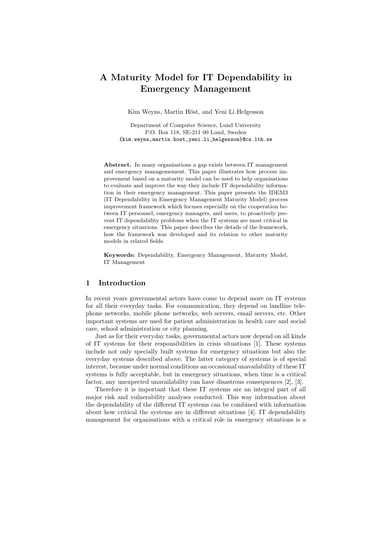# A Maturity Model for IT Dependability in Emergency Management

Kim Weyns, Martin Höst, and Yeni Li Helgesson

Department of Computer Science, Lund University P.O. Box 118, SE-211 00 Lund, Sweden {kim.weyns,martin.host,yeni.li\_helgesson}@cs.lth.se

Abstract. In many organisations a gap exists between IT management and emergency managemement. This paper illustrates how process improvement based on a maturity model can be used to help organisations to evaluate and improve the way they include IT dependability information in their emergency management. This paper presents the IDEM3 (IT Dependability in Emergency Management Maturity Model) process improvement framework which focuses especially on the cooperation between IT personnel, emergency managers, and users, to proactively prevent IT dependability problems when the IT systems are most critical in emergency situations. This paper describes the details of the framework, how the framework was developed and its relation to other maturity models in related fields.

Keywords: Dependability, Emergency Management, Maturity Model, IT Management

## 1 Introduction

In recent years governmental actors have come to depend more on IT systems for all their everyday tasks. For communication, they depend on landline telephone networks, mobile phone networks, web servers, email servers, etc. Other important systems are used for patient administration in health care and social care, school administration or city planning.

Just as for their everyday tasks, governmental actors now depend on all kinds of IT systems for their responsibilities in crisis situations [1]. These systems include not only specially built systems for emergency situations but also the everyday systems described above. The latter category of systems is of special interest, because under normal conditions an occasional unavailability of these IT systems is fully acceptable, but in emergency situations, when time is a critical factor, any unexpected unavailability can have disastrous consequences [2], [3].

Therefore it is important that these IT systems are an integral part of all major risk and vulnerability analyses conducted. This way information about the dependability of the different IT systems can be combined with information about how critical the systems are in different situations [4]. IT dependability management for organisations with a critical role in emergency situations is a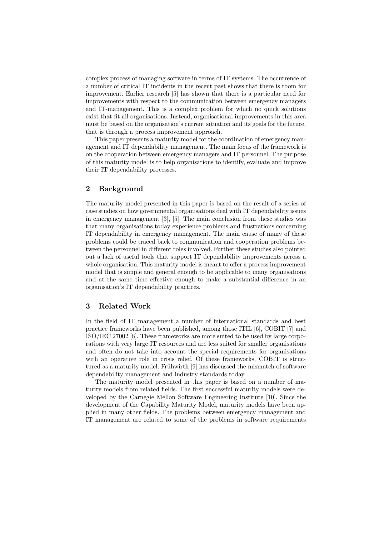complex process of managing software in terms of IT systems. The occurrence of a number of critical IT incidents in the recent past shows that there is room for improvement. Earlier research [5] has shown that there is a particular need for improvements with respect to the communication between emergency managers and IT-management. This is a complex problem for which no quick solutions exist that fit all organisations. Instead, organisational improvements in this area must be based on the organisation's current situation and its goals for the future, that is through a process improvement approach.

This paper presents a maturity model for the coordination of emergency management and IT dependability management. The main focus of the framework is on the cooperation between emergency managers and IT personnel. The purpose of this maturity model is to help organisations to identify, evaluate and improve their IT dependability processes.

### 2 Background

The maturity model presented in this paper is based on the result of a series of case studies on how governmental organisations deal with IT dependability issues in emergency management [3], [5]. The main conclusion from these studies was that many organisations today experience problems and frustrations concerning IT dependability in emergency management. The main cause of many of these problems could be traced back to communication and cooperation problems between the personnel in different roles involved. Further these studies also pointed out a lack of useful tools that support IT dependability improvements across a whole organisation. This maturity model is meant to offer a process improvement model that is simple and general enough to be applicable to many organisations and at the same time effective enough to make a substantial difference in an organisation's IT dependability practices.

### 3 Related Work

In the field of IT management a number of international standards and best practice frameworks have been published, among those ITIL [6], COBIT [7] and ISO/IEC 27002 [8]. These frameworks are more suited to be used by large corporations with very large IT resources and are less suited for smaller organisations and often do not take into account the special requirements for organisations with an operative role in crisis relief. Of these frameworks, COBIT is structured as a maturity model. Frühwirth [9] has discussed the mismatch of software dependability management and industry standards today.

The maturity model presented in this paper is based on a number of maturity models from related fields. The first successful maturity models were developed by the Carnegie Mellon Software Engineering Institute [10]. Since the development of the Capability Maturity Model, maturity models have been applied in many other fields. The problems between emergency management and IT management are related to some of the problems in software requirements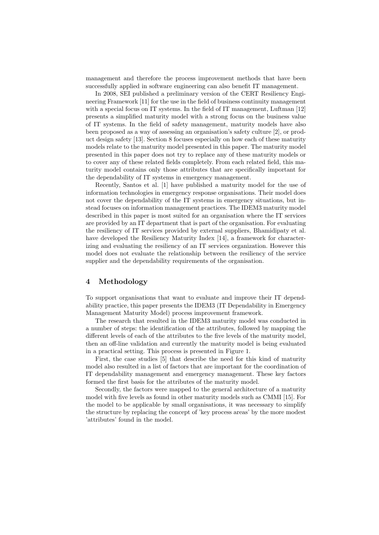management and therefore the process improvement methods that have been successfully applied in software engineering can also benefit IT management.

In 2008, SEI published a preliminary version of the CERT Resiliency Engineering Framework [11] for the use in the field of business continuity management with a special focus on IT systems. In the field of IT management, Luftman [12] presents a simplified maturity model with a strong focus on the business value of IT systems. In the field of safety management, maturity models have also been proposed as a way of assessing an organisation's safety culture [2], or product design safety [13]. Section 8 focuses especially on how each of these maturity models relate to the maturity model presented in this paper. The maturity model presented in this paper does not try to replace any of these maturity models or to cover any of these related fields completely. From each related field, this maturity model contains only those attributes that are specifically important for the dependability of IT systems in emergency management.

Recently, Santos et al. [1] have published a maturity model for the use of information technologies in emergency response organisations. Their model does not cover the dependability of the IT systems in emergency situations, but instead focuses on information management practices. The IDEM3 maturity model described in this paper is most suited for an organisation where the IT services are provided by an IT department that is part of the organisation. For evaluating the resiliency of IT services provided by external suppliers, Bhamidipaty et al. have developed the Resiliency Maturity Index [14], a framework for characterizing and evaluating the resiliency of an IT services organization. However this model does not evaluate the relationship between the resiliency of the service supplier and the dependability requirements of the organisation.

# 4 Methodology

To support organisations that want to evaluate and improve their IT dependability practice, this paper presents the IDEM3 (IT Dependability in Emergency Management Maturity Model) process improvement framework.

The research that resulted in the IDEM3 maturity model was conducted in a number of steps: the identification of the attributes, followed by mapping the different levels of each of the attributes to the five levels of the maturity model, then an off-line validation and currently the maturity model is being evaluated in a practical setting. This process is presented in Figure 1.

First, the case studies [5] that describe the need for this kind of maturity model also resulted in a list of factors that are important for the coordination of IT dependability management and emergency management. These key factors formed the first basis for the attributes of the maturity model.

Secondly, the factors were mapped to the general architecture of a maturity model with five levels as found in other maturity models such as CMMI [15]. For the model to be applicable by small organisations, it was necessary to simplify the structure by replacing the concept of 'key process areas' by the more modest 'attributes' found in the model.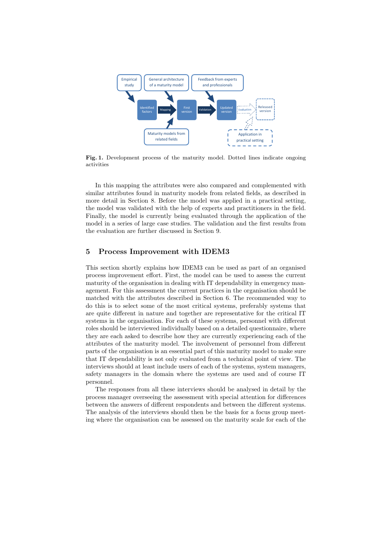

Fig. 1. Development process of the maturity model. Dotted lines indicate ongoing activities

In this mapping the attributes were also compared and complemented with similar attributes found in maturity models from related fields, as described in more detail in Section 8. Before the model was applied in a practical setting, the model was validated with the help of experts and practitioners in the field. Finally, the model is currently being evaluated through the application of the model in a series of large case studies. The validation and the first results from the evaluation are further discussed in Section 9.

### 5 Process Improvement with IDEM3

This section shortly explains how IDEM3 can be used as part of an organised process improvement effort. First, the model can be used to assess the current maturity of the organisation in dealing with IT dependability in emergency management. For this assessment the current practices in the organisation should be matched with the attributes described in Section 6. The recommended way to do this is to select some of the most critical systems, preferably systems that are quite different in nature and together are representative for the critical IT systems in the organisation. For each of these systems, personnel with different roles should be interviewed individually based on a detailed questionnaire, where they are each asked to describe how they are currently experiencing each of the attributes of the maturity model. The involvement of personnel from different parts of the organisation is an essential part of this maturity model to make sure that IT dependability is not only evaluated from a technical point of view. The interviews should at least include users of each of the systems, system managers, safety managers in the domain where the systems are used and of course IT personnel.

The responses from all these interviews should be analysed in detail by the process manager overseeing the assessment with special attention for differences between the answers of different respondents and between the different systems. The analysis of the interviews should then be the basis for a focus group meeting where the organisation can be assessed on the maturity scale for each of the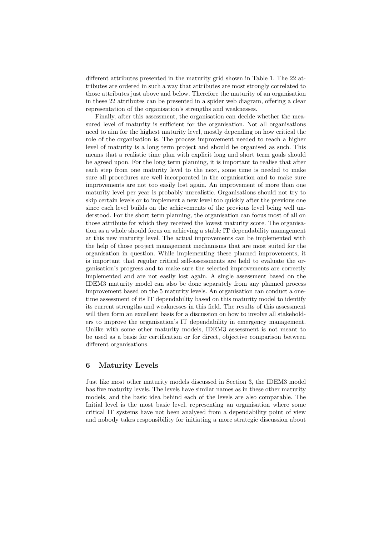different attributes presented in the maturity grid shown in Table 1. The 22 attributes are ordered in such a way that attributes are most strongly correlated to those attributes just above and below. Therefore the maturity of an organisation in these 22 attributes can be presented in a spider web diagram, offering a clear representation of the organisation's strengths and weaknesses.

Finally, after this assessment, the organisation can decide whether the measured level of maturity is sufficient for the organisation. Not all organisations need to aim for the highest maturity level, mostly depending on how critical the role of the organisation is. The process improvement needed to reach a higher level of maturity is a long term project and should be organised as such. This means that a realistic time plan with explicit long and short term goals should be agreed upon. For the long term planning, it is important to realise that after each step from one maturity level to the next, some time is needed to make sure all procedures are well incorporated in the organisation and to make sure improvements are not too easily lost again. An improvement of more than one maturity level per year is probably unrealistic. Organisations should not try to skip certain levels or to implement a new level too quickly after the previous one since each level builds on the achievements of the previous level being well understood. For the short term planning, the organisation can focus most of all on those attribute for which they received the lowest maturity score. The organisation as a whole should focus on achieving a stable IT dependability management at this new maturity level. The actual improvements can be implemented with the help of those project management mechanisms that are most suited for the organisation in question. While implementing these planned improvements, it is important that regular critical self-assessments are held to evaluate the organisation's progress and to make sure the selected improvements are correctly implemented and are not easily lost again. A single assessment based on the IDEM3 maturity model can also be done separately from any planned process improvement based on the 5 maturity levels. An organisation can conduct a onetime assessment of its IT dependability based on this maturity model to identify its current strengths and weaknesses in this field. The results of this assessment will then form an excellent basis for a discussion on how to involve all stakeholders to improve the organisation's IT dependability in emergency management. Unlike with some other maturity models, IDEM3 assessment is not meant to be used as a basis for certification or for direct, objective comparison between different organisations.

# 6 Maturity Levels

Just like most other maturity models discussed in Section 3, the IDEM3 model has five maturity levels. The levels have similar names as in these other maturity models, and the basic idea behind each of the levels are also comparable. The Initial level is the most basic level, representing an organisation where some critical IT systems have not been analysed from a dependability point of view and nobody takes responsibility for initiating a more strategic discussion about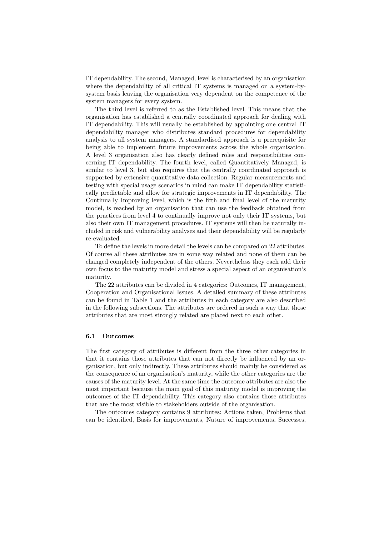IT dependability. The second, Managed, level is characterised by an organisation where the dependability of all critical IT systems is managed on a system-bysystem basis leaving the organisation very dependent on the competence of the system managers for every system.

The third level is referred to as the Established level. This means that the organisation has established a centrally coordinated approach for dealing with IT dependability. This will usually be established by appointing one central IT dependability manager who distributes standard procedures for dependability analysis to all system managers. A standardised approach is a prerequisite for being able to implement future improvements across the whole organisation. A level 3 organisation also has clearly defined roles and responsibilities concerning IT dependability. The fourth level, called Quantitatively Managed, is similar to level 3, but also requires that the centrally coordinated approach is supported by extensive quantitative data collection. Regular measurements and testing with special usage scenarios in mind can make IT dependability statistically predictable and allow for strategic improvements in IT dependability. The Continually Improving level, which is the fifth and final level of the maturity model, is reached by an organisation that can use the feedback obtained from the practices from level 4 to continually improve not only their IT systems, but also their own IT management procedures. IT systems will then be naturally included in risk and vulnerability analyses and their dependability will be regularly re-evaluated.

To define the levels in more detail the levels can be compared on 22 attributes. Of course all these attributes are in some way related and none of them can be changed completely independent of the others. Nevertheless they each add their own focus to the maturity model and stress a special aspect of an organisation's maturity.

The 22 attributes can be divided in 4 categories: Outcomes, IT management, Cooperation and Organisational Issues. A detailed summary of these attributes can be found in Table 1 and the attributes in each category are also described in the following subsections. The attributes are ordered in such a way that those attributes that are most strongly related are placed next to each other.

### 6.1 Outcomes

The first category of attributes is different from the three other categories in that it contains those attributes that can not directly be influenced by an organisation, but only indirectly. These attributes should mainly be considered as the consequence of an organisation's maturity, while the other categories are the causes of the maturity level. At the same time the outcome attributes are also the most important because the main goal of this maturity model is improving the outcomes of the IT dependability. This category also contains those attributes that are the most visible to stakeholders outside of the organisation.

The outcomes category contains 9 attributes: Actions taken, Problems that can be identified, Basis for improvements, Nature of improvements, Successes,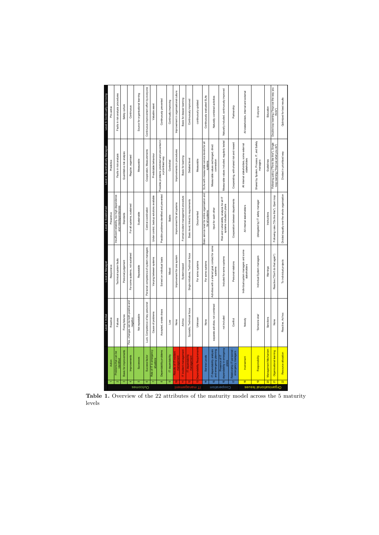|                       |                                                               | evel 1: Initial                                   | Level 2: Managed                                           | Level 3: Established                                                    | Level 4: Quantitatively Managed                                                       | Level 5: Continually improving                        |
|-----------------------|---------------------------------------------------------------|---------------------------------------------------|------------------------------------------------------------|-------------------------------------------------------------------------|---------------------------------------------------------------------------------------|-------------------------------------------------------|
|                       | Action                                                        | Reactive                                          | Responsive                                                 | Preventive                                                              | Predictive                                                                            | Pro-active                                            |
|                       | Problems that can be<br>identified<br>$\overline{\mathbf{z}}$ | Failures                                          | Technical system faults                                    | Insufficient reliability, too high dependence<br>and interdependencies  | Faults in risk analysis                                                               | Faults in risk analysis procedures                    |
|                       | Basis for improvements<br>$\ddot{\phantom{1}}$                | Fixing failures                                   | Personal judgement                                         | Standards                                                               | Quantitative risk analysis                                                            | Safety culture                                        |
|                       | <b>Improvements</b>                                           | Few, changes can be both positive and<br>negative | For some systems, not sustained                            | For all systems, sustained                                              | Regular, organised                                                                    | Continuous                                            |
| Outcomes              | <b>Successes</b>                                              | Not repeatable                                    | Repeatable                                                 | Sustainable                                                             | Measurable                                                                            | Source for organisational learning                    |
|                       | Success factor                                                | Luck, Competence of key personnel                 | Personal competence of system managers                     | Central coordination                                                    | Cooperation, Measurements                                                             | Continuous improvement effort by everyone             |
|                       | Role of IT in emergency<br>situations                         | Cause of problems                                 | Varying between systems                                    | Under control, backup solutions available                               | Predictable behaviour                                                                 | Valuable asset                                        |
|                       | Dependability problems<br>ø                                   | Accepted, create chaos                            | Solved on individual basis                                 | Possible problems identified and prevented                              | Possible problems predicted and prevented in<br>a prioritised way                     | Continuously prevented                                |
|                       | IT dependability<br>$\circ$                                   | Š                                                 | Mixed                                                      | Stable                                                                  | Controlled                                                                            | Continually improving                                 |
| <u>tnəmə</u>          | Results of IT incident<br>mananement                          | None                                              | Improvement for one system                                 | Improvement for all systems                                             | Improvements in procedures                                                            | Improvement in organisational culture                 |
|                       | IT incident management                                        | Ad-hoc                                            | System-based                                               | Formal incident management procedure                                    | Banimeal not assee                                                                    | Basis for deeper learning                             |
|                       | IT dependability<br>management                                | Sporadic, Technical focus                         | Single initiatives, Techincal focus                        | Basic level, linked to requirements                                     | Detailed level                                                                        | Continuously improved                                 |
| П                     | ependability Requirements                                     | Unknown                                           | For some systems                                           | Documented                                                              | Measurable                                                                            | continuously updated                                  |
|                       | Service Levels                                                | None                                              | For some systems                                           | Basic service level for entire organisation and<br>for all systems      | SLAs with measurable service levels for all<br>systems                                | Continuously evaluated SLAs                           |
|                       | and emergency planning<br>IT dependability analysis           | separate activities, not combined                 | Activities with a shared goal, contact for some<br>systems | Input for each other                                                    | Measurable values exchanged, direct<br>connection                                     | Naturally combined activities                         |
| Cooperation           | dependability in emergency<br>Presence of IT                  | not included                                      | Included for some systems                                  | Risk and vulnerability analysis for all IT<br>systems included in plans | Measurable values included, regularly tested                                          | Naturally included, continuously improved             |
|                       | Relationship IT personnel<br>emergency managers               | Conflict                                          | Personal relations                                         | Cooperation between departments                                         | Cooperating, with shared risk and reward                                              | Partnership                                           |
|                       | Involvement<br>$\infty$                                       | Nobody                                            | Individual system managers and some<br>stakeholders        | All internal stakeholders                                               | All internal stakeholders, some external<br>stakeholders                              | All stakeholders, internal and external               |
| Organisational Issues | Responsibility<br>$\bullet$                                   | 'Someone else'                                    | Individual System managers                                 | (delegated by) IT safety manager                                        | Shared by System, Process, IT, and Safety<br>managers                                 | Everyone                                              |
|                       | <b>Management Mechanism</b>                                   | Sanctions                                         | Wamings                                                    | Instructions                                                            | Guidelines                                                                            | Education                                             |
|                       | <b>Organisational learning</b>                                | None                                              | Reactive ("Don't do that again")                           | Following rules ("Do like this"), Open loop                             | Following policy ("Think like this"), Single<br>loop learning ("Improve what you do") | Double loop learning ("Improve the way you<br>think") |
|                       | Resource allocation                                           | Reactive, Ad hoc                                  | To individual projects                                     | Divided equally over the whole organisation                             | Divided in prioritised way                                                            | Optimized for best results                            |
|                       |                                                               |                                                   |                                                            |                                                                         |                                                                                       |                                                       |

Table 1. Overview of the 22 attributes of the maturity model across the 5 maturity levels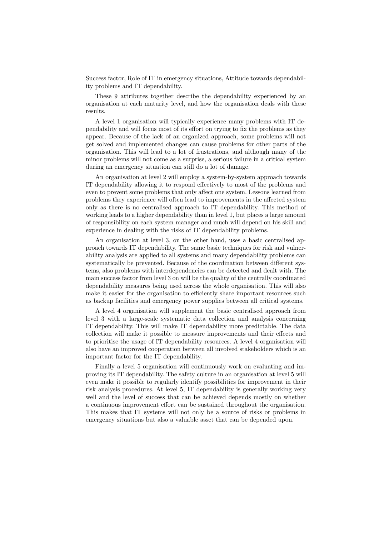Success factor, Role of IT in emergency situations, Attitude towards dependability problems and IT dependability.

These 9 attributes together describe the dependability experienced by an organisation at each maturity level, and how the organisation deals with these results.

A level 1 organisation will typically experience many problems with IT dependability and will focus most of its effort on trying to fix the problems as they appear. Because of the lack of an organized approach, some problems will not get solved and implemented changes can cause problems for other parts of the organisation. This will lead to a lot of frustrations, and although many of the minor problems will not come as a surprise, a serious failure in a critical system during an emergency situation can still do a lot of damage.

An organisation at level 2 will employ a system-by-system approach towards IT dependability allowing it to respond effectively to most of the problems and even to prevent some problems that only affect one system. Lessons learned from problems they experience will often lead to improvements in the affected system only as there is no centralised approach to IT dependability. This method of working leads to a higher dependability than in level 1, but places a large amount of responsibility on each system manager and much will depend on his skill and experience in dealing with the risks of IT dependability problems.

An organisation at level 3, on the other hand, uses a basic centralised approach towards IT dependability. The same basic techniques for risk and vulnerability analysis are applied to all systems and many dependability problems can systematically be prevented. Because of the coordination between different systems, also problems with interdependencies can be detected and dealt with. The main success factor from level 3 on will be the quality of the centrally coordinated dependability measures being used across the whole organisation. This will also make it easier for the organisation to efficiently share important resources such as backup facilities and emergency power supplies between all critical systems.

A level 4 organisation will supplement the basic centralised approach from level 3 with a large-scale systematic data collection and analysis concerning IT dependability. This will make IT dependability more predictable. The data collection will make it possible to measure improvements and their effects and to prioritise the usage of IT dependability resources. A level 4 organisation will also have an improved cooperation between all involved stakeholders which is an important factor for the IT dependability.

Finally a level 5 organisation will continuously work on evaluating and improving its IT dependability. The safety culture in an organisation at level 5 will even make it possible to regularly identify possibilities for improvement in their risk analysis procedures. At level 5, IT dependability is generally working very well and the level of success that can be achieved depends mostly on whether a continuous improvement effort can be sustained throughout the organisation. This makes that IT systems will not only be a source of risks or problems in emergency situations but also a valuable asset that can be depended upon.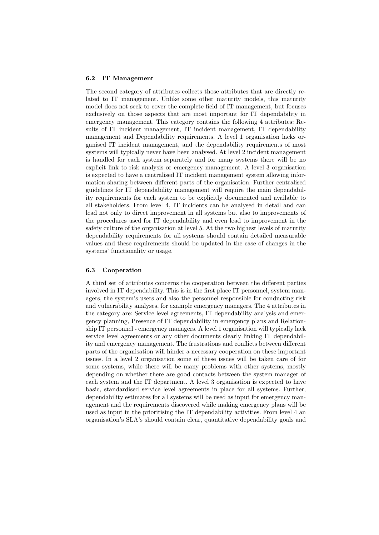#### 6.2 IT Management

The second category of attributes collects those attributes that are directly related to IT management. Unlike some other maturity models, this maturity model does not seek to cover the complete field of IT management, but focuses exclusively on those aspects that are most important for IT dependability in emergency management. This category contains the following 4 attributes: Results of IT incident management, IT incident management, IT dependability management and Dependability requirements. A level 1 organisation lacks organised IT incident management, and the dependability requirements of most systems will typically never have been analysed. At level 2 incident management is handled for each system separately and for many systems there will be no explicit link to risk analysis or emergency management. A level 3 organisation is expected to have a centralised IT incident management system allowing information sharing between different parts of the organisation. Further centralised guidelines for IT dependability management will require the main dependability requirements for each system to be explicitly documented and available to all stakeholders. From level 4, IT incidents can be analysed in detail and can lead not only to direct improvement in all systems but also to improvements of the procedures used for IT dependability and even lead to improvement in the safety culture of the organisation at level 5. At the two highest levels of maturity dependability requirements for all systems should contain detailed measurable values and these requirements should be updated in the case of changes in the systems' functionality or usage.

### 6.3 Cooperation

A third set of attributes concerns the cooperation between the different parties involved in IT dependability. This is in the first place IT personnel, system managers, the system's users and also the personnel responsible for conducting risk and vulnerability analyses, for example emergency managers. The 4 attributes in the category are: Service level agreements, IT dependability analysis and emergency planning, Presence of IT dependability in emergency plans and Relationship IT personnel - emergency managers. A level 1 organisation will typically lack service level agreements or any other documents clearly linking IT dependability and emergency management. The frustrations and conflicts between different parts of the organisation will hinder a necessary cooperation on these important issues. In a level 2 organisation some of these issues will be taken care of for some systems, while there will be many problems with other systems, mostly depending on whether there are good contacts between the system manager of each system and the IT department. A level 3 organisation is expected to have basic, standardised service level agreements in place for all systems. Further, dependability estimates for all systems will be used as input for emergency management and the requirements discovered while making emergency plans will be used as input in the prioritising the IT dependability activities. From level 4 an organisation's SLA's should contain clear, quantitative dependability goals and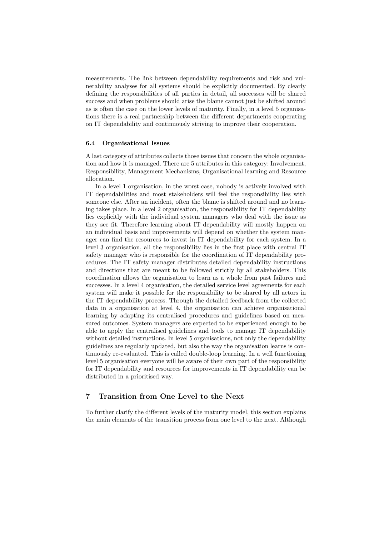measurements. The link between dependability requirements and risk and vulnerability analyses for all systems should be explicitly documented. By clearly defining the responsibilities of all parties in detail, all successes will be shared success and when problems should arise the blame cannot just be shifted around as is often the case on the lower levels of maturity. Finally, in a level 5 organisations there is a real partnership between the different departments cooperating on IT dependability and continuously striving to improve their cooperation.

#### 6.4 Organisational Issues

A last category of attributes collects those issues that concern the whole organisation and how it is managed. There are 5 attributes in this category: Involvement, Responsibility, Management Mechanisms, Organisational learning and Resource allocation.

In a level 1 organisation, in the worst case, nobody is actively involved with IT dependabilities and most stakeholders will feel the responsibility lies with someone else. After an incident, often the blame is shifted around and no learning takes place. In a level 2 organisation, the responsibility for IT dependability lies explicitly with the individual system managers who deal with the issue as they see fit. Therefore learning about IT dependability will mostly happen on an individual basis and improvements will depend on whether the system manager can find the resources to invest in IT dependability for each system. In a level 3 organisation, all the responsibility lies in the first place with central IT safety manager who is responsible for the coordination of IT dependability procedures. The IT safety manager distributes detailed dependability instructions and directions that are meant to be followed strictly by all stakeholders. This coordination allows the organisation to learn as a whole from past failures and successes. In a level 4 organisation, the detailed service level agreements for each system will make it possible for the responsibility to be shared by all actors in the IT dependability process. Through the detailed feedback from the collected data in a organisation at level 4, the organisation can achieve organisational learning by adapting its centralised procedures and guidelines based on measured outcomes. System managers are expected to be experienced enough to be able to apply the centralised guidelines and tools to manage IT dependability without detailed instructions. In level 5 organisations, not only the dependability guidelines are regularly updated, but also the way the organisation learns is continuously re-evaluated. This is called double-loop learning. In a well functioning level 5 organisation everyone will be aware of their own part of the responsibility for IT dependability and resources for improvements in IT dependability can be distributed in a prioritised way.

# 7 Transition from One Level to the Next

To further clarify the different levels of the maturity model, this section explains the main elements of the transition process from one level to the next. Although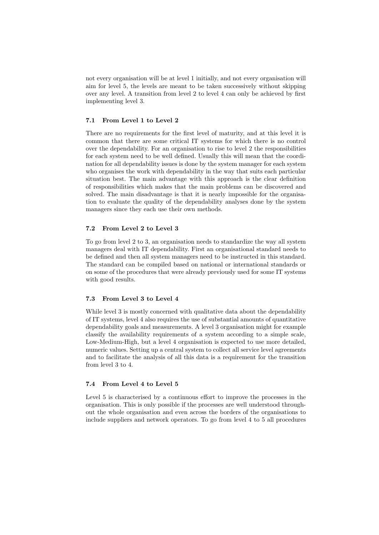not every organisation will be at level 1 initially, and not every organisation will aim for level 5, the levels are meant to be taken successively without skipping over any level. A transition from level 2 to level 4 can only be achieved by first implementing level 3.

#### 7.1 From Level 1 to Level 2

There are no requirements for the first level of maturity, and at this level it is common that there are some critical IT systems for which there is no control over the dependability. For an organisation to rise to level 2 the responsibilities for each system need to be well defined. Usually this will mean that the coordination for all dependability issues is done by the system manager for each system who organises the work with dependability in the way that suits each particular situation best. The main advantage with this approach is the clear definition of responsibilities which makes that the main problems can be discovered and solved. The main disadvantage is that it is nearly impossible for the organisation to evaluate the quality of the dependability analyses done by the system managers since they each use their own methods.

### 7.2 From Level 2 to Level 3

To go from level 2 to 3, an organisation needs to standardize the way all system managers deal with IT dependability. First an organisational standard needs to be defined and then all system managers need to be instructed in this standard. The standard can be compiled based on national or international standards or on some of the procedures that were already previously used for some IT systems with good results.

### 7.3 From Level 3 to Level 4

While level 3 is mostly concerned with qualitative data about the dependability of IT systems, level 4 also requires the use of substantial amounts of quantitative dependability goals and measurements. A level 3 organisation might for example classify the availability requirements of a system according to a simple scale, Low-Medium-High, but a level 4 organisation is expected to use more detailed, numeric values. Setting up a central system to collect all service level agreements and to facilitate the analysis of all this data is a requirement for the transition from level 3 to 4.

#### 7.4 From Level 4 to Level 5

Level 5 is characterised by a continuous effort to improve the processes in the organisation. This is only possible if the processes are well understood throughout the whole organisation and even across the borders of the organisations to include suppliers and network operators. To go from level 4 to 5 all procedures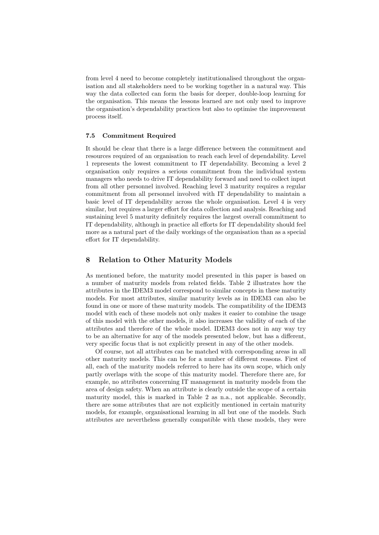from level 4 need to become completely institutionalised throughout the organisation and all stakeholders need to be working together in a natural way. This way the data collected can form the basis for deeper, double-loop learning for the organisation. This means the lessons learned are not only used to improve the organisation's dependability practices but also to optimise the improvement process itself.

### 7.5 Commitment Required

It should be clear that there is a large difference between the commitment and resources required of an organisation to reach each level of dependability. Level 1 represents the lowest commitment to IT dependability. Becoming a level 2 organisation only requires a serious commitment from the individual system managers who needs to drive IT dependability forward and need to collect input from all other personnel involved. Reaching level 3 maturity requires a regular commitment from all personnel involved with IT dependability to maintain a basic level of IT dependability across the whole organisation. Level 4 is very similar, but requires a larger effort for data collection and analysis. Reaching and sustaining level 5 maturity definitely requires the largest overall commitment to IT dependability, although in practice all efforts for IT dependability should feel more as a natural part of the daily workings of the organisation than as a special effort for IT dependability.

### 8 Relation to Other Maturity Models

As mentioned before, the maturity model presented in this paper is based on a number of maturity models from related fields. Table 2 illustrates how the attributes in the IDEM3 model correspond to similar concepts in these maturity models. For most attributes, similar maturity levels as in IDEM3 can also be found in one or more of these maturity models. The compatibility of the IDEM3 model with each of these models not only makes it easier to combine the usage of this model with the other models, it also increases the validity of each of the attributes and therefore of the whole model. IDEM3 does not in any way try to be an alternative for any of the models presented below, but has a different, very specific focus that is not explicitly present in any of the other models.

Of course, not all attributes can be matched with corresponding areas in all other maturity models. This can be for a number of different reasons. First of all, each of the maturity models referred to here has its own scope, which only partly overlaps with the scope of this maturity model. Therefore there are, for example, no attributes concerning IT management in maturity models from the area of design safety. When an attribute is clearly outside the scope of a certain maturity model, this is marked in Table 2 as n.a., not applicable. Secondly, there are some attributes that are not explicitly mentioned in certain maturity models, for example, organisational learning in all but one of the models. Such attributes are nevertheless generally compatible with these models, they were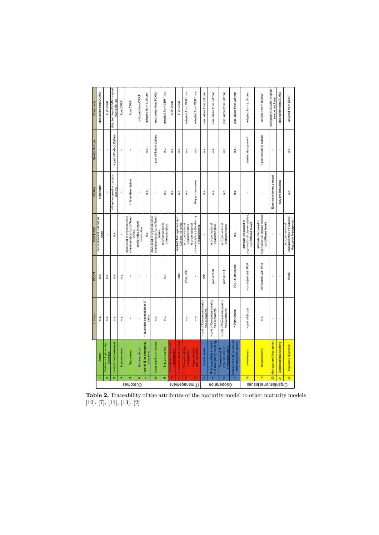|                | Action                             | Problems that can be<br>identified<br>$\mathbf{\alpha}$ | <b>Basis for improvements</b><br>$\infty$ | Improvements | <b>Successes</b><br>ဖာ<br>Outcomes                                     | Success factor<br>ø                  | Role of IT in emergency<br>situations | Dependability problems<br>$\infty$                                     | IT dependability<br>$\bullet$        | Results of IT incident<br>management | IT incident management                        | IT dependability<br>management       | Dependability<br>Requirements<br>Inamagemem TI                    | Service Levels<br>$\frac{4}{3}$            | IT dependability analysis<br>and emergency planning<br>$\overline{6}$ | emergency plans<br>dependability in<br>Presence of IT<br>G<br>Cooperation | Relationship IT personnel<br>- emergency managers<br>Ħ |                         | Involvement<br>$\frac{8}{18}$                                                     | Responsibility<br>$\frac{9}{2}$                                                   | <b>Management Mechanism</b><br>$\overline{20}$  | <b>Organisational learning</b><br>$\overline{21}$<br>Prganisational Isaues |
|----------------|------------------------------------|---------------------------------------------------------|-------------------------------------------|--------------|------------------------------------------------------------------------|--------------------------------------|---------------------------------------|------------------------------------------------------------------------|--------------------------------------|--------------------------------------|-----------------------------------------------|--------------------------------------|-------------------------------------------------------------------|--------------------------------------------|-----------------------------------------------------------------------|---------------------------------------------------------------------------|--------------------------------------------------------|-------------------------|-----------------------------------------------------------------------------------|-----------------------------------------------------------------------------------|-------------------------------------------------|----------------------------------------------------------------------------|
| Luftman        | n.a.                               | n.a.                                                    | n.a.                                      | n.a.         | ï                                                                      |                                      | ~ business perception of IT<br>value  | n.a.                                                                   | n.a.                                 | Î,                                   | ï                                             | n.a.                                 | n.a.                                                              | = part of Competency/value<br>measurements | = part of Competency/value<br>measurements                            | = part of Competency/value                                                | measurements                                           | = Partnership           | ~ part of Scope                                                                   | n.a.                                                                              |                                                 |                                                                            |
| COBIT          | n.a.                               | n.a.                                                    | n.a.                                      | n.a.         | ï                                                                      |                                      | ł,                                    |                                                                        | n.a.                                 |                                      | DS <sub>8</sub>                               | DS4, DS5                             |                                                                   | DS1                                        | part of PO <sub>9</sub>                                               | part of PO <sub>9</sub>                                                   |                                                        | P04.15, no levels       | consistent with PO4                                                               | consistent with PO4                                                               |                                                 | ï                                                                          |
| CERT REF       | concepts used, but not as<br>exact |                                                         | n.a.                                      |              | discussed in organisational<br>characteristics, but different<br>evels | similar idea in level<br>description | n.a.                                  | characteristics, but different<br>discussed in organisational<br>evels | in organisational<br>characteristics |                                      | Incident Management and<br>Control, no levels | in organisational<br>characteristics | characteristics + Resiliency<br>in organisational<br>Requirements |                                            | in organisational<br>characteristics                                  | in organisational<br>characteristics                                      |                                                        | n.a.                    | organisational characteristics,<br>attribute discussed in<br>but different levels | organisational characteristics,<br>attribute discussed in<br>but different levels |                                                 | in organisational                                                          |
| <b>DCMM</b>    | =Approach                          |                                                         | ~ Practice used in decision<br>making     |              | in level descrtiption                                                  |                                      | n.a.                                  |                                                                        | n.a.                                 | n.a                                  | n.a.                                          | n.a.                                 | Key process area                                                  | n.a.                                       | n.a.                                                                  | n.a.                                                                      |                                                        | n.a.                    |                                                                                   |                                                                                   | Even more levels present                        | Key process area                                                           |
| Safety Culture |                                    |                                                         | = part of Safety Culture                  |              |                                                                        |                                      | n.a.                                  | = part of Safety Culture                                               | n.a.                                 | n.a.                                 | n.a.                                          | n.a.                                 | n.a.                                                              | n.a.                                       | n.a.                                                                  | n.a.                                                                      |                                                        | n.a.                    | similar idea present                                                              | = part of Safety Culture                                                          |                                                 | j,                                                                         |
| Comments       | idea taken from DCMM               | Own input                                               | Adapted from DCMM, original<br>from UKOOA | from CMMI    | from CMMI                                                              | adapted from CERT                    | adapted from Luftman                  | idea taken from SCMM                                                   | adapted from CERT res                | Own input                            | Own input                                     | adapted from CERT res                | adapted from CERT res                                             | idea taken from Luftman                    | idea taken from Luftman                                               | idea taken from Luftman                                                   |                                                        | idea taken from Luftman | adapted from Luftman                                                              | adapted from SCMM                                                                 | Selection of DCMM, original<br>source not found | idea taken from DCMM                                                       |

Table 2. Traceability of the attributes of the maturity model to other maturity models [12], [7], [11], [13], [2]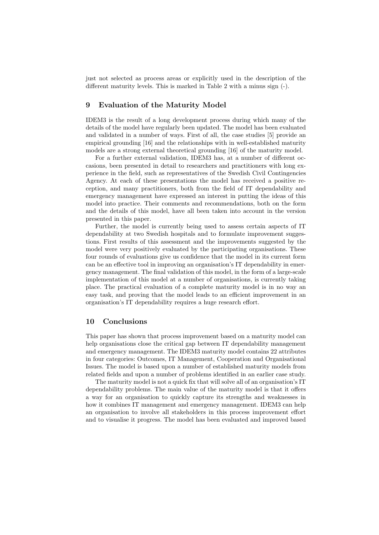just not selected as process areas or explicitly used in the description of the different maturity levels. This is marked in Table 2 with a minus sign (-).

### 9 Evaluation of the Maturity Model

IDEM3 is the result of a long development process during which many of the details of the model have regularly been updated. The model has been evaluated and validated in a number of ways. First of all, the case studies [5] provide an empirical grounding [16] and the relationships with in well-established maturity models are a strong external theoretical grounding [16] of the maturity model.

For a further external validation, IDEM3 has, at a number of different occasions, been presented in detail to researchers and practitioners with long experience in the field, such as representatives of the Swedish Civil Contingencies Agency. At each of these presentations the model has received a positive reception, and many practitioners, both from the field of IT dependability and emergency management have expressed an interest in putting the ideas of this model into practice. Their comments and recommendations, both on the form and the details of this model, have all been taken into account in the version presented in this paper.

Further, the model is currently being used to assess certain aspects of IT dependability at two Swedish hospitals and to formulate improvement suggestions. First results of this assessment and the improvements suggested by the model were very positively evaluated by the participating organisations. These four rounds of evaluations give us confidence that the model in its current form can be an effective tool in improving an organisation's IT dependability in emergency management. The final validation of this model, in the form of a large-scale implementation of this model at a number of organisations, is currently taking place. The practical evaluation of a complete maturity model is in no way an easy task, and proving that the model leads to an efficient improvement in an organisation's IT dependability requires a huge research effort.

### 10 Conclusions

This paper has shown that process improvement based on a maturity model can help organisations close the critical gap between IT dependability management and emergency management. The IDEM3 maturity model contains 22 attributes in four categories: Outcomes, IT Management, Cooperation and Organisational Issues. The model is based upon a number of established maturity models from related fields and upon a number of problems identified in an earlier case study.

The maturity model is not a quick fix that will solve all of an organisation's IT dependability problems. The main value of the maturity model is that it offers a way for an organisation to quickly capture its strengths and weaknesses in how it combines IT management and emergency management. IDEM3 can help an organisation to involve all stakeholders in this process improvement effort and to visualise it progress. The model has been evaluated and improved based